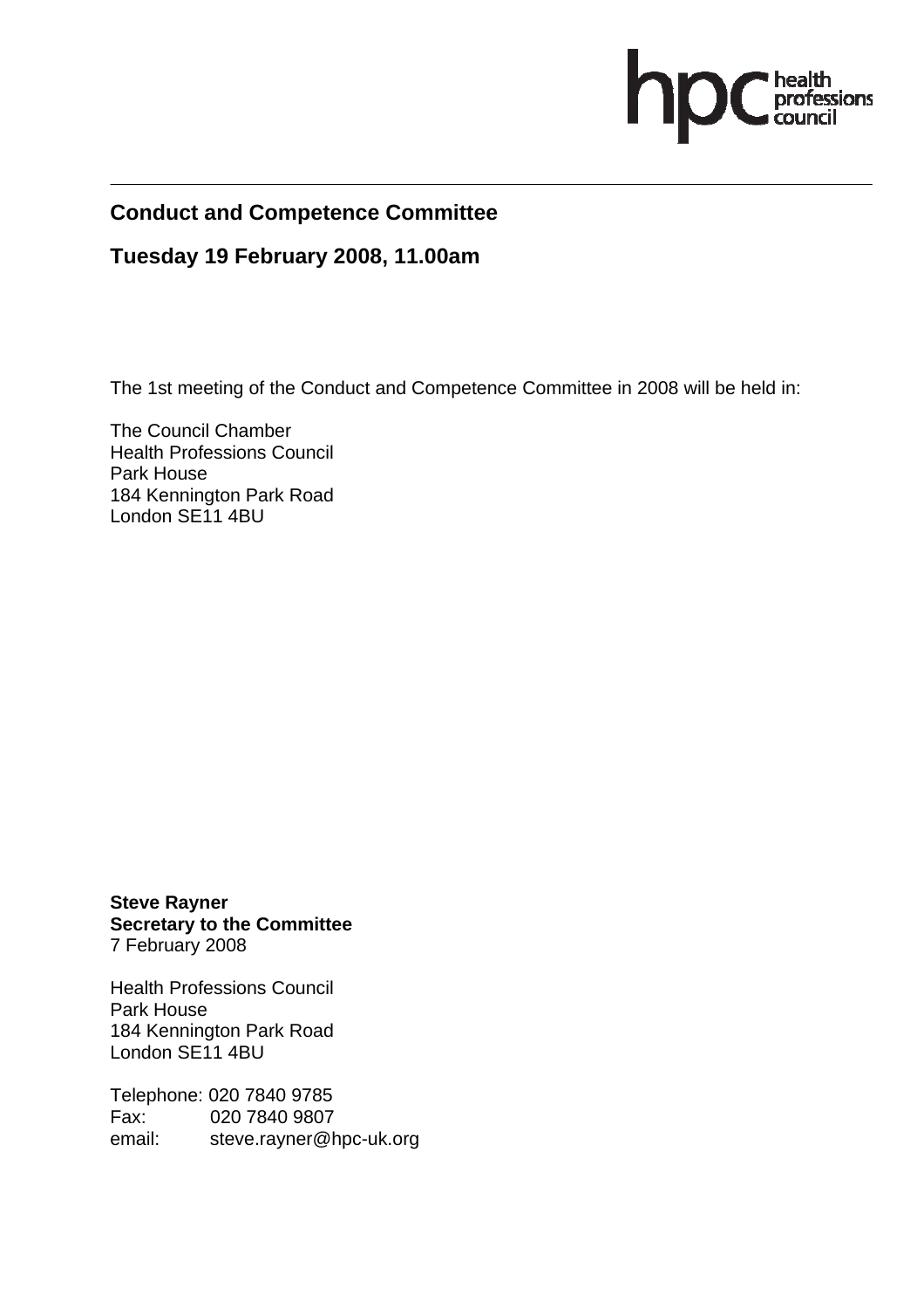

# **Conduct and Competence Committee**

#### **Tuesday 19 February 2008, 11.00am**

The 1st meeting of the Conduct and Competence Committee in 2008 will be held in:

The Council Chamber Health Professions Council Park House 184 Kennington Park Road London SE11 4BU

**Steve Rayner Secretary to the Committee**  7 February 2008

Health Professions Council Park House 184 Kennington Park Road London SE11 4BU

Telephone: 020 7840 9785 Fax: 020 7840 9807 email:steve.rayner@hpc-uk.org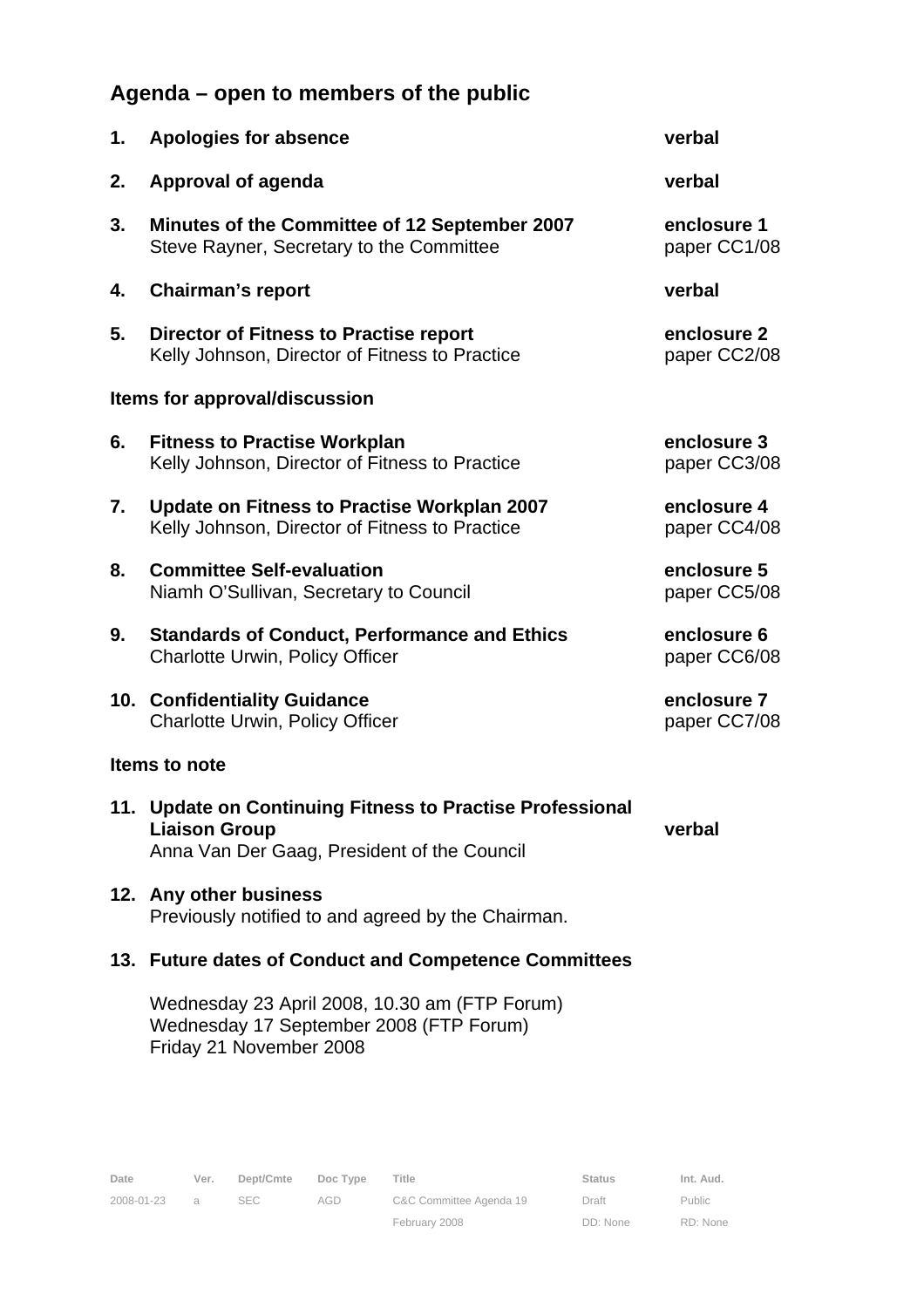# **Agenda – open to members of the public**

| 1.                            | <b>Apologies for absence</b>                                                                    | verbal                      |
|-------------------------------|-------------------------------------------------------------------------------------------------|-----------------------------|
| 2.                            | Approval of agenda                                                                              | verbal                      |
| 3.                            | Minutes of the Committee of 12 September 2007<br>Steve Rayner, Secretary to the Committee       | enclosure 1<br>paper CC1/08 |
| 4.                            | <b>Chairman's report</b>                                                                        | verbal                      |
| 5.                            | <b>Director of Fitness to Practise report</b><br>Kelly Johnson, Director of Fitness to Practice | enclosure 2<br>paper CC2/08 |
| Items for approval/discussion |                                                                                                 |                             |
| 6.                            | <b>Fitness to Practise Workplan</b><br>Kelly Johnson, Director of Fitness to Practice           | enclosure 3<br>paper CC3/08 |
| 7.                            | Update on Fitness to Practise Workplan 2007<br>Kelly Johnson, Director of Fitness to Practice   | enclosure 4<br>paper CC4/08 |
| 8.                            | <b>Committee Self-evaluation</b><br>Niamh O'Sullivan, Secretary to Council                      | enclosure 5<br>paper CC5/08 |
| 9.                            | <b>Standards of Conduct, Performance and Ethics</b><br><b>Charlotte Urwin, Policy Officer</b>   | enclosure 6<br>paper CC6/08 |
|                               | 10. Confidentiality Guidance<br><b>Charlotte Urwin, Policy Officer</b>                          | enclosure 7<br>paper CC7/08 |
| Items to note                 |                                                                                                 |                             |
| 11.                           | <b>Update on Continuing Fitness to Practise Professional</b><br><b>Liaison Group</b>            | verbal                      |

Anna Van Der Gaag, President of the Council

**12. Any other business**  Previously notified to and agreed by the Chairman.

#### **13. Future dates of Conduct and Competence Committees**

Wednesday 23 April 2008, 10.30 am (FTP Forum) Wednesday 17 September 2008 (FTP Forum) Friday 21 November 2008

Public RD: None